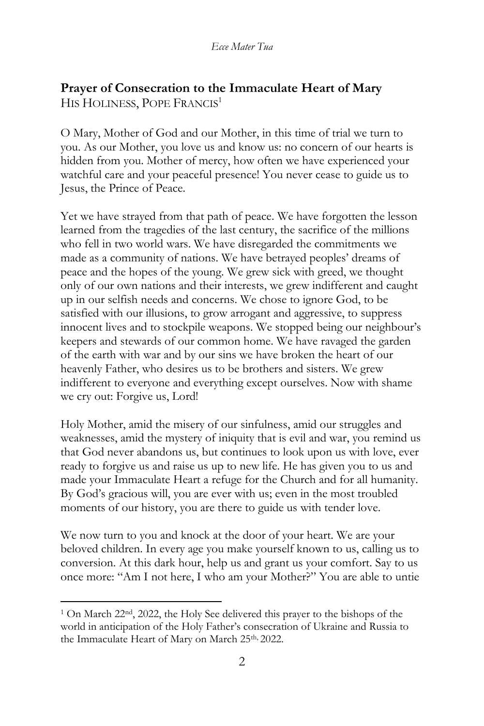## **Prayer of Consecration to the Immaculate Heart of Mary** HIS HOLINESS, POPE FRANCIS<sup>1</sup>

O Mary, Mother of God and our Mother, in this time of trial we turn to you. As our Mother, you love us and know us: no concern of our hearts is hidden from you. Mother of mercy, how often we have experienced your watchful care and your peaceful presence! You never cease to guide us to Jesus, the Prince of Peace.

Yet we have strayed from that path of peace. We have forgotten the lesson learned from the tragedies of the last century, the sacrifice of the millions who fell in two world wars. We have disregarded the commitments we made as a community of nations. We have betrayed peoples' dreams of peace and the hopes of the young. We grew sick with greed, we thought only of our own nations and their interests, we grew indifferent and caught up in our selfish needs and concerns. We chose to ignore God, to be satisfied with our illusions, to grow arrogant and aggressive, to suppress innocent lives and to stockpile weapons. We stopped being our neighbour's keepers and stewards of our common home. We have ravaged the garden of the earth with war and by our sins we have broken the heart of our heavenly Father, who desires us to be brothers and sisters. We grew indifferent to everyone and everything except ourselves. Now with shame we cry out: Forgive us, Lord!

Holy Mother, amid the misery of our sinfulness, amid our struggles and weaknesses, amid the mystery of iniquity that is evil and war, you remind us that God never abandons us, but continues to look upon us with love, ever ready to forgive us and raise us up to new life. He has given you to us and made your Immaculate Heart a refuge for the Church and for all humanity. By God's gracious will, you are ever with us; even in the most troubled moments of our history, you are there to guide us with tender love.

We now turn to you and knock at the door of your heart. We are your beloved children. In every age you make yourself known to us, calling us to conversion. At this dark hour, help us and grant us your comfort. Say to us once more: "Am I not here, I who am your Mother?" You are able to untie

<sup>1</sup> On March 22nd, 2022, the Holy See delivered this prayer to the bishops of the world in anticipation of the Holy Father's consecration of Ukraine and Russia to the Immaculate Heart of Mary on March 25<sup>th, 2022.</sup>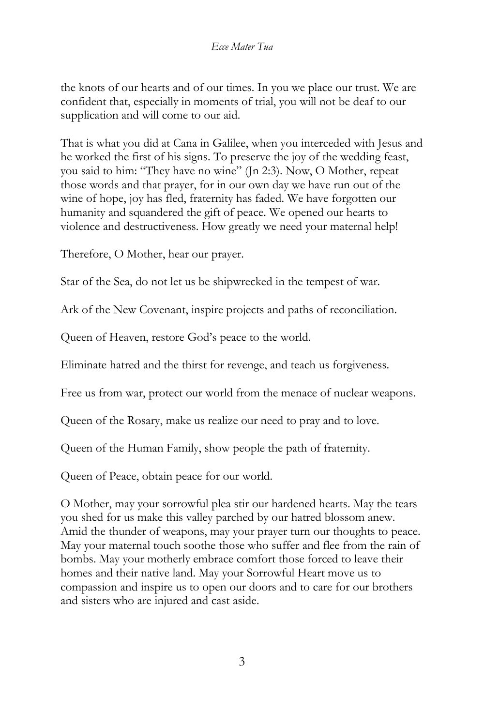the knots of our hearts and of our times. In you we place our trust. We are confident that, especially in moments of trial, you will not be deaf to our supplication and will come to our aid.

That is what you did at Cana in Galilee, when you interceded with Jesus and he worked the first of his signs. To preserve the joy of the wedding feast, you said to him: "They have no wine" (Jn 2:3). Now, O Mother, repeat those words and that prayer, for in our own day we have run out of the wine of hope, joy has fled, fraternity has faded. We have forgotten our humanity and squandered the gift of peace. We opened our hearts to violence and destructiveness. How greatly we need your maternal help!

Therefore, O Mother, hear our prayer.

Star of the Sea, do not let us be shipwrecked in the tempest of war.

Ark of the New Covenant, inspire projects and paths of reconciliation.

Queen of Heaven, restore God's peace to the world.

Eliminate hatred and the thirst for revenge, and teach us forgiveness.

Free us from war, protect our world from the menace of nuclear weapons.

Queen of the Rosary, make us realize our need to pray and to love.

Queen of the Human Family, show people the path of fraternity.

Queen of Peace, obtain peace for our world.

O Mother, may your sorrowful plea stir our hardened hearts. May the tears you shed for us make this valley parched by our hatred blossom anew. Amid the thunder of weapons, may your prayer turn our thoughts to peace. May your maternal touch soothe those who suffer and flee from the rain of bombs. May your motherly embrace comfort those forced to leave their homes and their native land. May your Sorrowful Heart move us to compassion and inspire us to open our doors and to care for our brothers and sisters who are injured and cast aside.